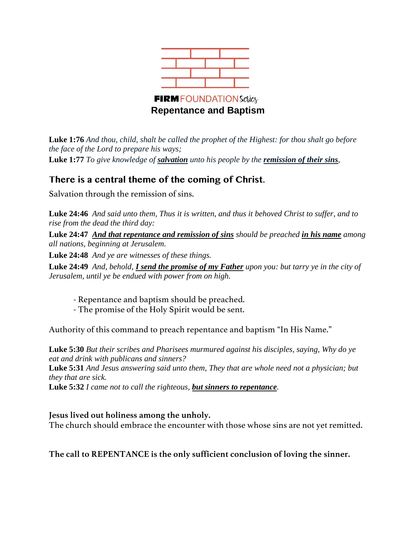

**Luke 1:76** *And thou, child, shalt be called the prophet of the Highest: for thou shalt go before the face of the Lord to prepare his ways;* **Luke 1:77** *To give knowledge of salvation unto his people by the remission of their sins,*

# **There is a central theme of the coming of Christ.**

Salvation through the remission of sins.

**Luke 24:46** *And said unto them, Thus it is written, and thus it behoved Christ to suffer, and to rise from the dead the third day:*

**Luke 24:47** *And that repentance and remission of sins should be preached in his name among all nations, beginning at Jerusalem.*

**Luke 24:48** *And ye are witnesses of these things.*

**Luke 24:49** *And, behold, I send the promise of my Father upon you: but tarry ye in the city of Jerusalem, until ye be endued with power from on high.*

- Repentance and baptism should be preached.
- The promise of the Holy Spirit would be sent.

Authority of this command to preach repentance and baptism "In His Name."

**Luke 5:30** *But their scribes and Pharisees murmured against his disciples, saying, Why do ye eat and drink with publicans and sinners?* **Luke 5:31** *And Jesus answering said unto them, They that are whole need not a physician; but they that are sick.* **Luke 5:32** *I came not to call the righteous, but sinners to repentance.*

**Jesus lived out holiness among the unholy.** The church should embrace the encounter with those whose sins are not yet remitted.

**The call to REPENTANCE is the only sufficient conclusion of loving the sinner.**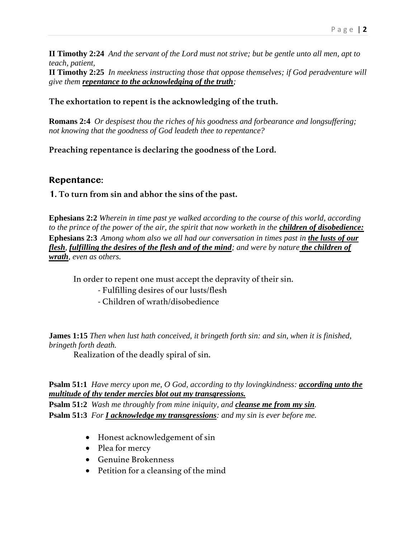**II Timothy 2:24** *And the servant of the Lord must not strive; but be gentle unto all men, apt to teach, patient,*

**II Timothy 2:25** *In meekness instructing those that oppose themselves; if God peradventure will give them repentance to the acknowledging of the truth;*

## **The exhortation to repent is the acknowledging of the truth.**

**Romans 2:4** *Or despisest thou the riches of his goodness and forbearance and longsuffering; not knowing that the goodness of God leadeth thee to repentance?* 

**Preaching repentance is declaring the goodness of the Lord.**

## **Repentance:**

## **1. To turn from sin and abhor the sins of the past.**

**Ephesians 2:2** *Wherein in time past ye walked according to the course of this world, according to the prince of the power of the air, the spirit that now worketh in the <i>children of disobedience*: **Ephesians 2:3** *Among whom also we all had our conversation in times past in the lusts of our flesh, fulfilling the desires of the flesh and of the mind; and were by nature the children of wrath, even as others.*

In order to repent one must accept the depravity of their sin.

- Fulfilling desires of our lusts/flesh
- Children of wrath/disobedience

**James 1:15** *Then when lust hath conceived, it bringeth forth sin: and sin, when it is finished, bringeth forth death.*

Realization of the deadly spiral of sin.

## **Psalm 51:1** *Have mercy upon me, O God, according to thy lovingkindness: according unto the multitude of thy tender mercies blot out my transgressions.*

**Psalm 51:2** *Wash me throughly from mine iniquity, and cleanse me from my sin.* **Psalm 51:3** *For I acknowledge my transgressions: and my sin is ever before me.*

- Honest acknowledgement of sin
- Plea for mercy
- Genuine Brokenness
- Petition for a cleansing of the mind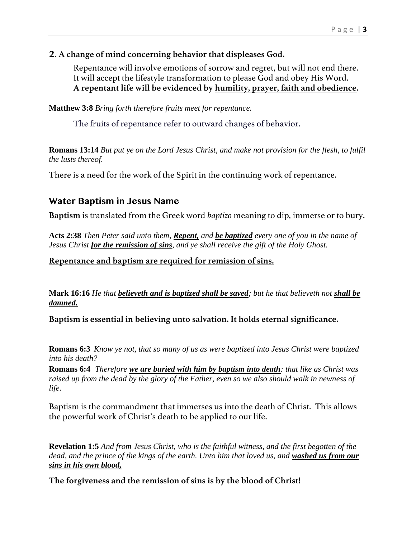## **2. A change of mind concerning behavior that displeases God.**

Repentance will involve emotions of sorrow and regret, but will not end there. It will accept the lifestyle transformation to please God and obey His Word. **A repentant life will be evidenced by humility, prayer, faith and obedience.**

**Matthew 3:8** *Bring forth therefore fruits meet for repentance.* 

The fruits of repentance refer to outward changes of behavior.

**Romans 13:14** *But put ye on the Lord Jesus Christ, and make not provision for the flesh, to fulfil the lusts thereof.*

There is a need for the work of the Spirit in the continuing work of repentance.

## **Water Baptism in Jesus Name**

**Baptism** is translated from the Greek word *baptizo* meaning to dip, immerse or to bury.

**Acts 2:38** *Then Peter said unto them, Repent, and be baptized every one of you in the name of Jesus Christ for the remission of sins, and ye shall receive the gift of the Holy Ghost.* 

**Repentance and baptism are required for remission of sins.**

**Mark 16:16** *He that believeth and is baptized shall be saved; but he that believeth not shall be damned.*

**Baptism is essential in believing unto salvation. It holds eternal significance.**

**Romans 6:3** *Know ye not, that so many of us as were baptized into Jesus Christ were baptized into his death?*

**Romans 6:4** *Therefore we are buried with him by baptism into death: that like as Christ was raised up from the dead by the glory of the Father, even so we also should walk in newness of life*.

Baptism is the commandment that immerses us into the death of Christ. This allows the powerful work of Christ's death to be applied to our life.

**Revelation 1:5** *And from Jesus Christ, who is the faithful witness, and the first begotten of the dead, and the prince of the kings of the earth. Unto him that loved us, and washed us from our sins in his own blood,*

**The forgiveness and the remission of sins is by the blood of Christ!**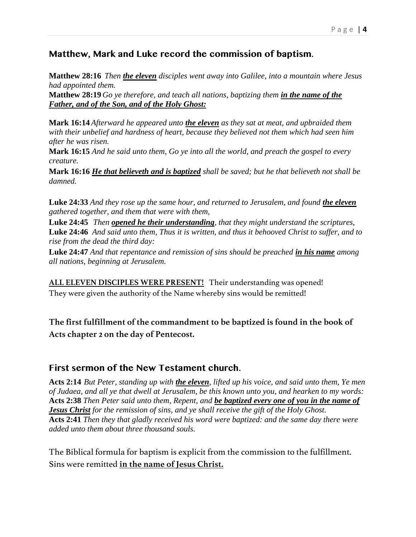## **Matthew, Mark and Luke record the commission of baptism.**

**Matthew 28:16** *Then the eleven disciples went away into Galilee, into a mountain where Jesus had appointed them.*

**Matthew 28:19** Go ye therefore, and teach all nations, baptizing them *in the name of the Father, and of the Son, and of the Holy Ghost:*

**Mark 16:14** *Afterward he appeared unto the eleven as they sat at meat, and upbraided them with their unbelief and hardness of heart, because they believed not them which had seen him after he was risen.*

**Mark 16:15** *And he said unto them, Go ye into all the world, and preach the gospel to every creature.*

**Mark 16:16** *He that believeth and is baptized shall be saved; but he that believeth not shall be damned.*

**Luke 24:33** *And they rose up the same hour, and returned to Jerusalem, and found the eleven gathered together, and them that were with them,*

**Luke 24:45** *Then opened he their understanding, that they might understand the scriptures,* **Luke 24:46** *And said unto them, Thus it is written, and thus it behooved Christ to suffer, and to rise from the dead the third day:*

**Luke 24:47** *And that repentance and remission of sins should be preached in his name among all nations, beginning at Jerusalem.*

**ALL ELEVEN DISCIPLES WERE PRESENT!** Their understanding was opened! They were given the authority of the Name whereby sins would be remitted!

**The first fulfillment of the commandment to be baptized is found in the book of Acts chapter 2 on the day of Pentecost.**

## **First sermon of the New Testament church.**

**Acts 2:14** *But Peter, standing up with the eleven, lifted up his voice, and said unto them, Ye men of Judaea, and all ye that dwell at Jerusalem, be this known unto you, and hearken to my words:* **Acts 2:38** *Then Peter said unto them, Repent, and be baptized every one of you in the name of Jesus Christ for the remission of sins, and ye shall receive the gift of the Holy Ghost.*  **Acts 2:41** *Then they that gladly received his word were baptized: and the same day there were added unto them about three thousand souls.* 

The Biblical formula for baptism is explicit from the commission to the fulfillment. Sins were remitted **in the name of Jesus Christ.**